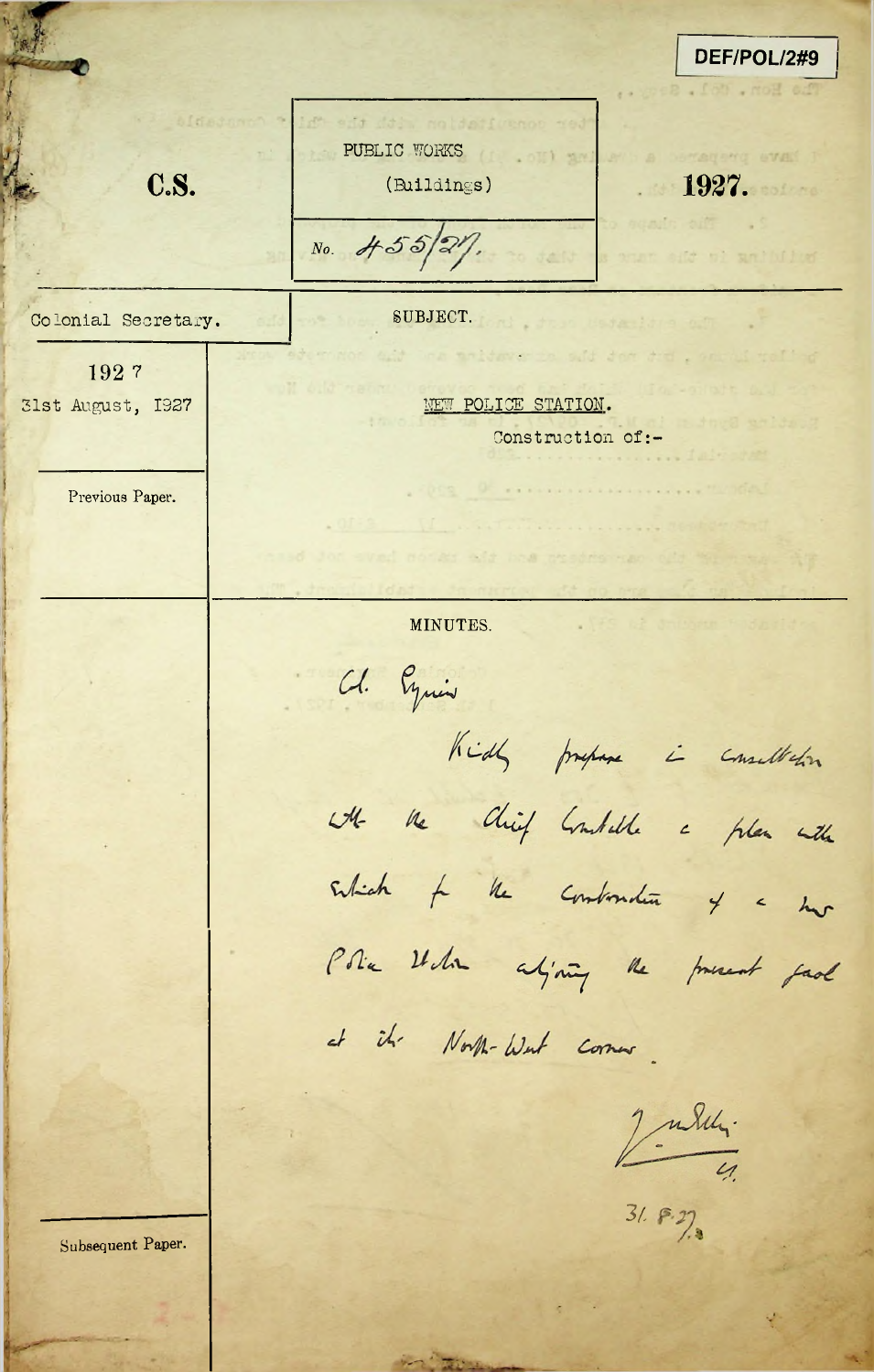DEF/POL/2#9 PUBLIC WORKS **. a** out inc bragerq even !! C.S. (Buildings) 1927. No.  $\frac{455}{24}$ of antiched Colonial Secretary. SUBJECT. the suid dem diet 192 7 31st August, 1927 | NEW POLICE STATION. Construction of:-. Form Of President and the Previous Paper. MINUTES. **!** Cl. Equis Kids prepare i consultation with the Chief Constable a plan with subich to the continuation of a har Police When adjoining the present fact at it. North-West comer 2 miller. **3/.**Subsequent Paper.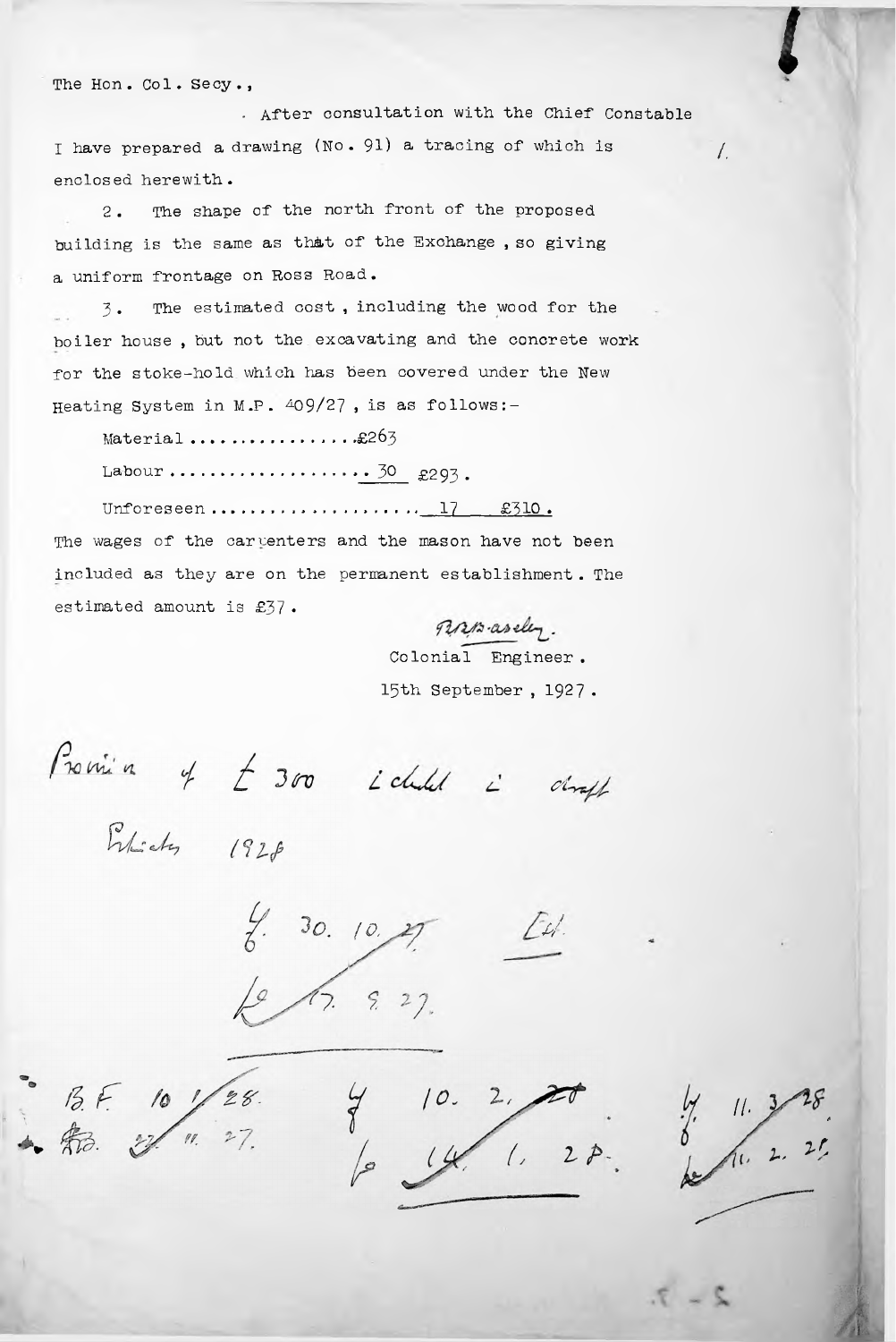The Hon. Col. Secy.,

*.* After consultation with the Chief Constable <sup>I</sup> have prepared <sup>a</sup> drawing (No • 91) <sup>a</sup> tracing of which is *l.* enclosed herewith.

2 . The shape of the north front of the proposed building is the same as th&t of the Exchange , so giving <sup>a</sup> uniform frontage on Ross Road.

**3-** The estimated cost , including the wood for the boiler house , but not the excavating and the concrete work for the stoke-hold which has been covered under the New Heating System in M.P.  $409/27$ , is as follows:-

Material .£263

Labour  $\ldots$   $\ldots$   $\ldots$   $\ldots$   $\ldots$   $\frac{30}{2293}$ .

Unforeseen.......................17  $\&310.$ 

The wages of the carventers and the mason have not been included as they are on the permanent establishment . The estimated amount is £37 •

Farmaseley. Colonial Engineer .15th September , 1927 •

Promise of  $\pm$  300 i child i chraft

Pulicky 1928

*10. U-* $6\sqrt{2}$  9, 27.

*II. It I.. fl*

*I*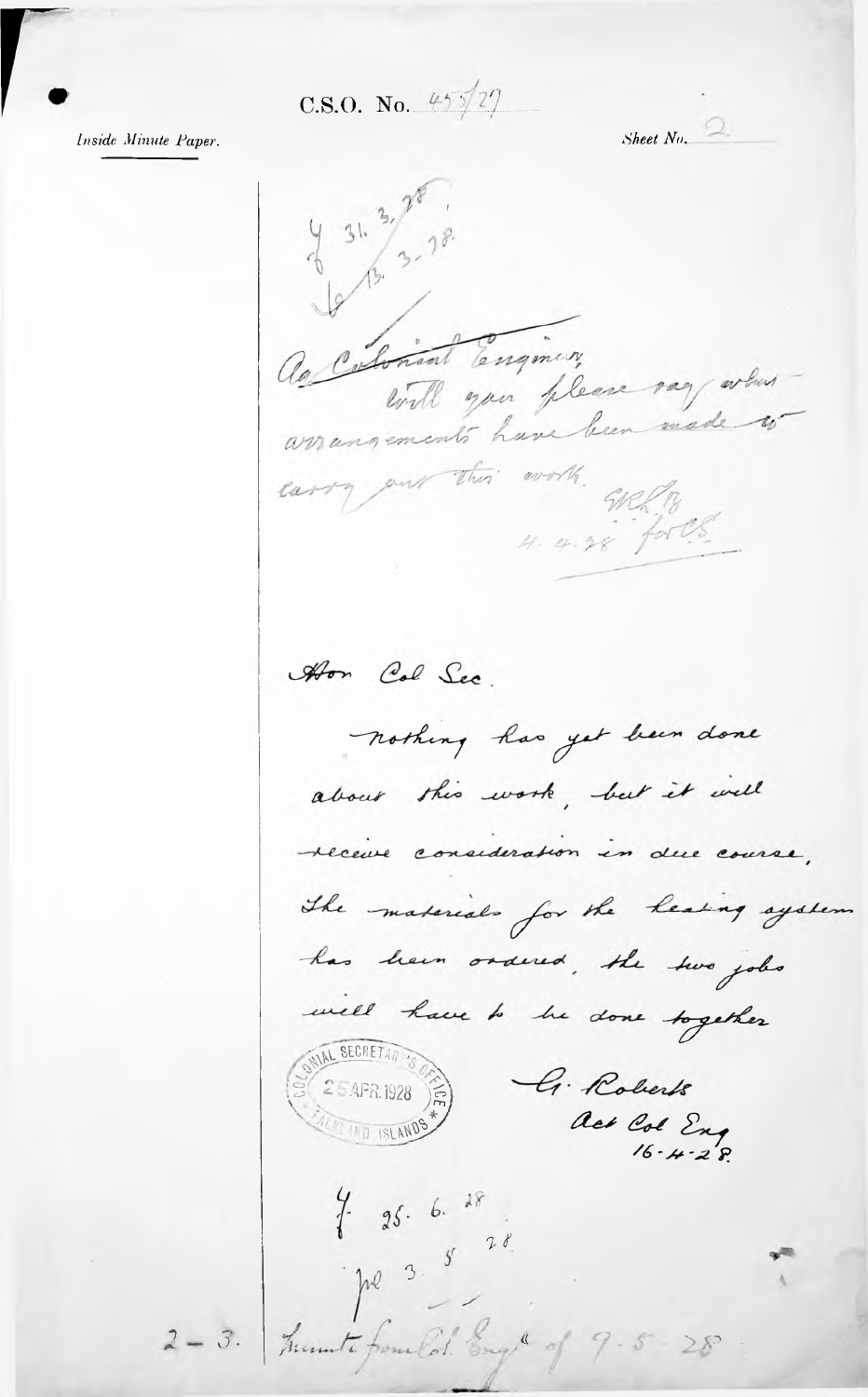C.S.O. No.  $45\frac{1}{2}$ 

Inside Minute Paper.

Sheet  $N_0$ .  $431.3720$ le 13.78. as Colonial Engineer will you please vag when arrangements have been made carry our this work. Welly  $4.4.28$  for U.S. Aron Col Sec. nothing has yet been done about this work, but it will receive consideration in due course, The materials for the heating system has been ordered, the two jobs well have to be done together G. Roberts  $(25APR.1928)$ act Col Eng<br>16.4.28. TIND ISLANDS  $7 - 25.6.18$ pe 3.5 28 2-3. Trumte from Col. Engl of 9.5-28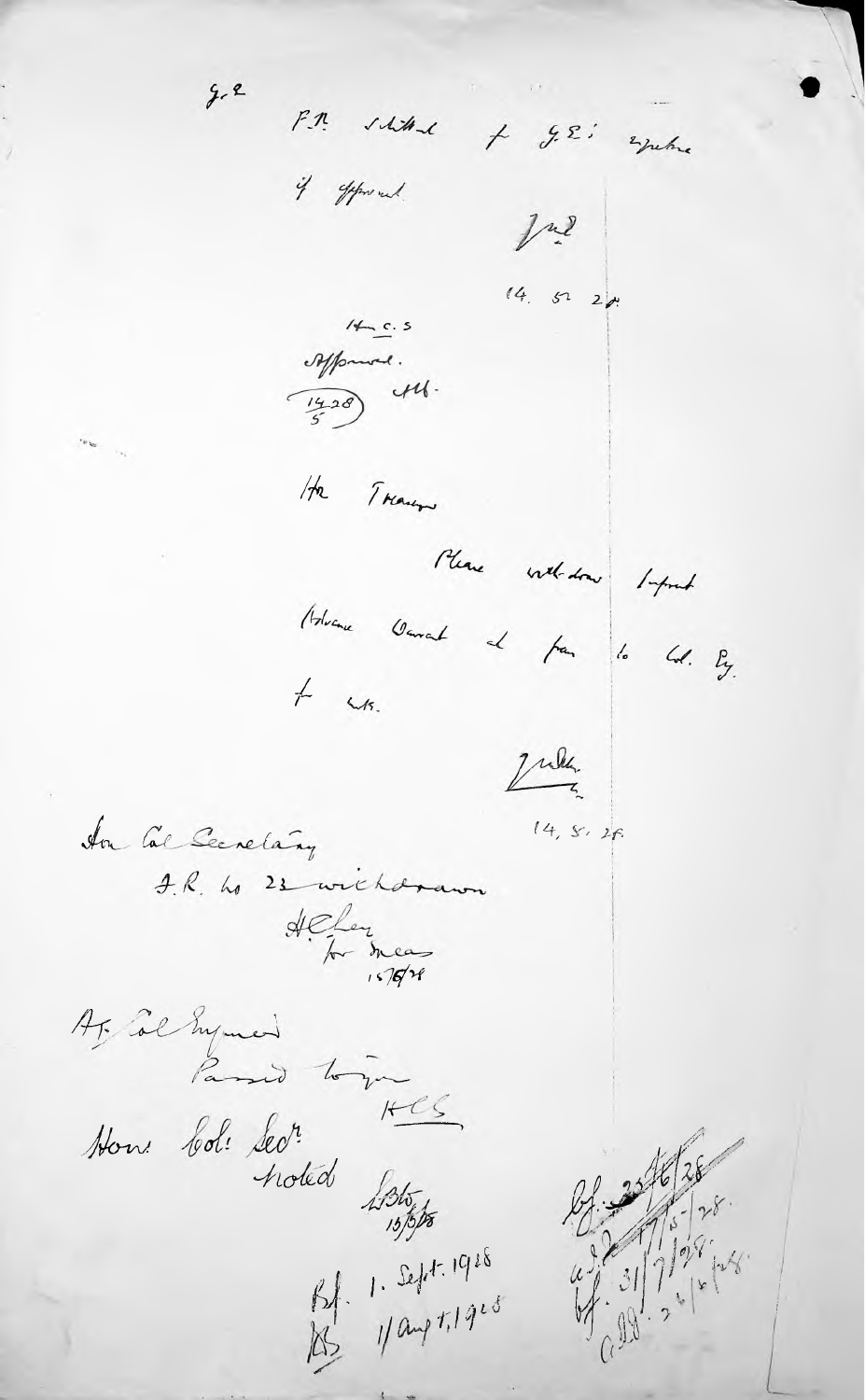$2.2$ F.M. schitant + g.E.i esperante if offered.  $1<sup>m</sup>$  $(4, 522)$  $\frac{1}{2}$  $\begin{picture}(120,115) \put(10,115){\line(1,0){155}} \put(10,115){\line(1,0){155}} \put(10,115){\line(1,0){155}} \put(10,115){\line(1,0){155}} \put(10,115){\line(1,0){155}} \put(10,115){\line(1,0){155}} \put(10,115){\line(1,0){155}} \put(10,115){\line(1,0){155}} \put(10,115){\line(1,0){155}} \put(10,115){\line(1,0){1$ Ha Trans Please withdraw Import Holvane Garant at fam 1. Col. By.  $+$   $\omega$ s. July  $14, 5.26$ In the Secretary J.R. ho 23 withdrawn Heley<br>for meas Ar Col mymed Passed to you How bol: Sect.<br>Now bol: Sect.  $HCS$ 

Bf. 1. Sept. 1928<br>Bg. 1/ aug 1, 1928

 $2^{\frac{1}{2} \left| \frac{1}{2} \right| \times \frac{1}{2}}$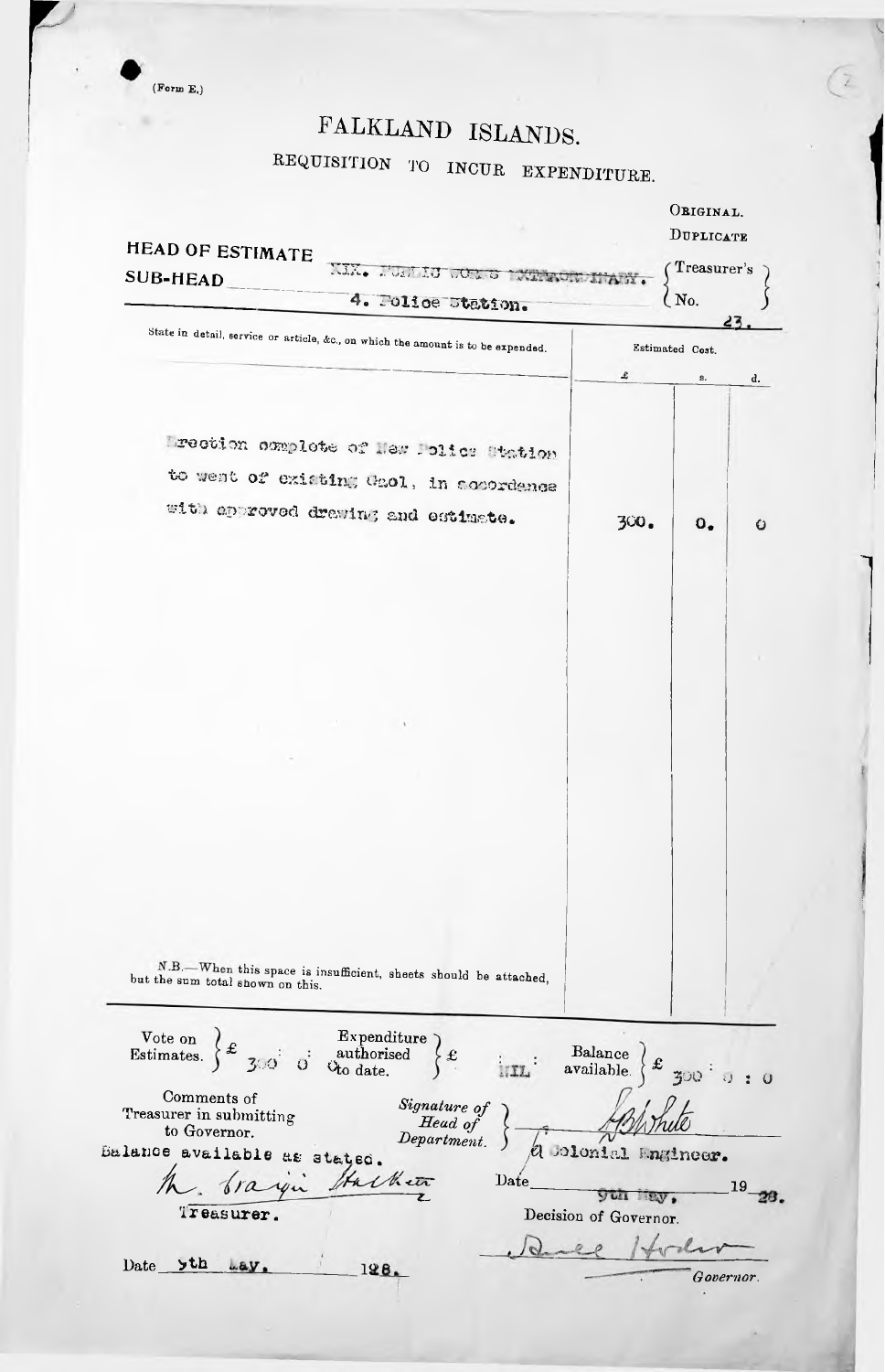$(From E.)$ 

## FALKLAND ISLANDS.

REQUISITION TO INCUR EXPENDITURE.

 $\left( \frac{2}{\epsilon} \right)$ 

| <b>HEAD OF ESTIMATE</b>                                                                                                                                                                                                                                                                                                                                                                                                                                                                                                                                                             |                                        |                        | ORIGINAL.<br>DUPLICATE |  |
|-------------------------------------------------------------------------------------------------------------------------------------------------------------------------------------------------------------------------------------------------------------------------------------------------------------------------------------------------------------------------------------------------------------------------------------------------------------------------------------------------------------------------------------------------------------------------------------|----------------------------------------|------------------------|------------------------|--|
| NEWS WORKING WORKS<br><b>SUB-HEAD</b>                                                                                                                                                                                                                                                                                                                                                                                                                                                                                                                                               |                                        | Treasurer's            |                        |  |
| 4. Folice Station.                                                                                                                                                                                                                                                                                                                                                                                                                                                                                                                                                                  |                                        | $\overline{\rm M}_0$ . |                        |  |
|                                                                                                                                                                                                                                                                                                                                                                                                                                                                                                                                                                                     |                                        | 23                     |                        |  |
| State in detail, service or article, &c., on which the amount is to be expended.                                                                                                                                                                                                                                                                                                                                                                                                                                                                                                    |                                        | Estimated Cost.        |                        |  |
|                                                                                                                                                                                                                                                                                                                                                                                                                                                                                                                                                                                     | £                                      | S.                     | d.                     |  |
|                                                                                                                                                                                                                                                                                                                                                                                                                                                                                                                                                                                     |                                        |                        |                        |  |
|                                                                                                                                                                                                                                                                                                                                                                                                                                                                                                                                                                                     |                                        |                        |                        |  |
| Lrection complete of Hew Lolics Station                                                                                                                                                                                                                                                                                                                                                                                                                                                                                                                                             |                                        |                        |                        |  |
| to went of existing Gaol, in accordence                                                                                                                                                                                                                                                                                                                                                                                                                                                                                                                                             |                                        |                        |                        |  |
| with approved drawing and estimate.                                                                                                                                                                                                                                                                                                                                                                                                                                                                                                                                                 |                                        |                        |                        |  |
|                                                                                                                                                                                                                                                                                                                                                                                                                                                                                                                                                                                     | 300.                                   | $\mathbf{0}_{\bullet}$ | O                      |  |
|                                                                                                                                                                                                                                                                                                                                                                                                                                                                                                                                                                                     |                                        |                        |                        |  |
|                                                                                                                                                                                                                                                                                                                                                                                                                                                                                                                                                                                     |                                        |                        |                        |  |
|                                                                                                                                                                                                                                                                                                                                                                                                                                                                                                                                                                                     |                                        |                        |                        |  |
|                                                                                                                                                                                                                                                                                                                                                                                                                                                                                                                                                                                     |                                        |                        |                        |  |
|                                                                                                                                                                                                                                                                                                                                                                                                                                                                                                                                                                                     |                                        |                        |                        |  |
|                                                                                                                                                                                                                                                                                                                                                                                                                                                                                                                                                                                     |                                        |                        |                        |  |
|                                                                                                                                                                                                                                                                                                                                                                                                                                                                                                                                                                                     |                                        |                        |                        |  |
|                                                                                                                                                                                                                                                                                                                                                                                                                                                                                                                                                                                     |                                        |                        |                        |  |
|                                                                                                                                                                                                                                                                                                                                                                                                                                                                                                                                                                                     |                                        |                        |                        |  |
|                                                                                                                                                                                                                                                                                                                                                                                                                                                                                                                                                                                     |                                        |                        |                        |  |
|                                                                                                                                                                                                                                                                                                                                                                                                                                                                                                                                                                                     |                                        |                        |                        |  |
|                                                                                                                                                                                                                                                                                                                                                                                                                                                                                                                                                                                     |                                        |                        |                        |  |
|                                                                                                                                                                                                                                                                                                                                                                                                                                                                                                                                                                                     |                                        |                        |                        |  |
|                                                                                                                                                                                                                                                                                                                                                                                                                                                                                                                                                                                     |                                        |                        |                        |  |
|                                                                                                                                                                                                                                                                                                                                                                                                                                                                                                                                                                                     |                                        |                        |                        |  |
|                                                                                                                                                                                                                                                                                                                                                                                                                                                                                                                                                                                     |                                        |                        |                        |  |
| N.B. - When this space is insufficient, sheets should be attached,<br>but the sum total shown on this.                                                                                                                                                                                                                                                                                                                                                                                                                                                                              |                                        |                        |                        |  |
|                                                                                                                                                                                                                                                                                                                                                                                                                                                                                                                                                                                     |                                        |                        |                        |  |
|                                                                                                                                                                                                                                                                                                                                                                                                                                                                                                                                                                                     |                                        |                        |                        |  |
| Vote on $\left\{\begin{array}{ccc}\text{Example 1:}\quad & \text{Expenditure}\quad\text{Expenditure}\quad\text{Setimates.}\quad\text{3:}\quad\text{5:}\quad\text{or} \quad\text{C}{\text{the date.}}\quad\text{Ans.}\quad\text{Ans.}\quad\text{Ans.}\quad\text{Ans.}\quad\text{Ans.}\quad\text{Ans.}\quad\text{Ans.}\quad\text{Ans.}\quad\text{Ans.}\quad\text{Ans.}\quad\text{Ans.}\quad\text{Ans.}\quad\text{Ans.}\quad\text{Ans.}\quad\text{Ans.}\quad\text{Ans.}\quad\text{Ans.}\quad\text{Ans.}\quad\text{Ans.}\$<br>$\left\{ \begin{array}{c} \mathbf{f} \end{array} \right.$ |                                        |                        |                        |  |
|                                                                                                                                                                                                                                                                                                                                                                                                                                                                                                                                                                                     | Balance<br>available.<br>$\frac{1}{2}$ |                        |                        |  |
| Comments of                                                                                                                                                                                                                                                                                                                                                                                                                                                                                                                                                                         |                                        |                        |                        |  |
| Signature of<br>Head of<br>Department.<br>Treasurer in submitting<br>to Governor.                                                                                                                                                                                                                                                                                                                                                                                                                                                                                                   |                                        |                        |                        |  |
| Balance available as stated.                                                                                                                                                                                                                                                                                                                                                                                                                                                                                                                                                        | & Colonial Angineer.                   |                        |                        |  |
| Hacket<br>the braque<br>Date                                                                                                                                                                                                                                                                                                                                                                                                                                                                                                                                                        |                                        |                        |                        |  |
|                                                                                                                                                                                                                                                                                                                                                                                                                                                                                                                                                                                     |                                        |                        | 19                     |  |
| Treasurer.                                                                                                                                                                                                                                                                                                                                                                                                                                                                                                                                                                          | Decision of Governor.                  |                        |                        |  |
|                                                                                                                                                                                                                                                                                                                                                                                                                                                                                                                                                                                     |                                        |                        |                        |  |
| Date >th<br>Lay.<br>198.                                                                                                                                                                                                                                                                                                                                                                                                                                                                                                                                                            |                                        |                        |                        |  |